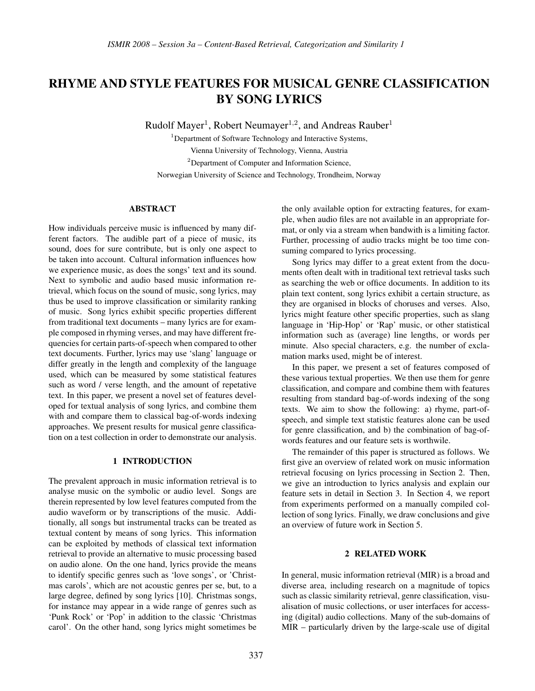# RHYME AND STYLE FEATURES FOR MUSICAL GENRE CLASSIFICATION BY SONG LYRICS

Rudolf Mayer<sup>1</sup>, Robert Neumayer<sup>1,2</sup>, and Andreas Rauber<sup>1</sup>

<sup>1</sup>Department of Software Technology and Interactive Systems, Vienna University of Technology, Vienna, Austria <sup>2</sup>Department of Computer and Information Science, Norwegian University of Science and Technology, Trondheim, Norway

# ABSTRACT

How individuals perceive music is influenced by many different factors. The audible part of a piece of music, its sound, does for sure contribute, but is only one aspect to be taken into account. Cultural information influences how we experience music, as does the songs' text and its sound. Next to symbolic and audio based music information retrieval, which focus on the sound of music, song lyrics, may thus be used to improve classification or similarity ranking of music. Song lyrics exhibit specific properties different from traditional text documents – many lyrics are for example composed in rhyming verses, and may have different frequencies for certain parts-of-speech when compared to other text documents. Further, lyrics may use 'slang' language or differ greatly in the length and complexity of the language used, which can be measured by some statistical features such as word / verse length, and the amount of repetative text. In this paper, we present a novel set of features developed for textual analysis of song lyrics, and combine them with and compare them to classical bag-of-words indexing approaches. We present results for musical genre classification on a test collection in order to demonstrate our analysis.

# 1 INTRODUCTION

The prevalent approach in music information retrieval is to analyse music on the symbolic or audio level. Songs are therein represented by low level features computed from the audio waveform or by transcriptions of the music. Additionally, all songs but instrumental tracks can be treated as textual content by means of song lyrics. This information can be exploited by methods of classical text information retrieval to provide an alternative to music processing based on audio alone. On the one hand, lyrics provide the means to identify specific genres such as 'love songs', or 'Christmas carols', which are not acoustic genres per se, but, to a large degree, defined by song lyrics [10]. Christmas songs, for instance may appear in a wide range of genres such as 'Punk Rock' or 'Pop' in addition to the classic 'Christmas carol'. On the other hand, song lyrics might sometimes be

the only available option for extracting features, for example, when audio files are not available in an appropriate format, or only via a stream when bandwith is a limiting factor. Further, processing of audio tracks might be too time consuming compared to lyrics processing.

Song lyrics may differ to a great extent from the documents often dealt with in traditional text retrieval tasks such as searching the web or office documents. In addition to its plain text content, song lyrics exhibit a certain structure, as they are organised in blocks of choruses and verses. Also, lyrics might feature other specific properties, such as slang language in 'Hip-Hop' or 'Rap' music, or other statistical information such as (average) line lengths, or words per minute. Also special characters, e.g. the number of exclamation marks used, might be of interest.

In this paper, we present a set of features composed of these various textual properties. We then use them for genre classification, and compare and combine them with features resulting from standard bag-of-words indexing of the song texts. We aim to show the following: a) rhyme, part-ofspeech, and simple text statistic features alone can be used for genre classification, and b) the combination of bag-ofwords features and our feature sets is worthwile.

The remainder of this paper is structured as follows. We first give an overview of related work on music information retrieval focusing on lyrics processing in Section 2. Then, we give an introduction to lyrics analysis and explain our feature sets in detail in Section 3. In Section 4, we report from experiments performed on a manually compiled collection of song lyrics. Finally, we draw conclusions and give an overview of future work in Section 5.

# 2 RELATED WORK

In general, music information retrieval (MIR) is a broad and diverse area, including research on a magnitude of topics such as classic similarity retrieval, genre classification, visualisation of music collections, or user interfaces for accessing (digital) audio collections. Many of the sub-domains of MIR – particularly driven by the large-scale use of digital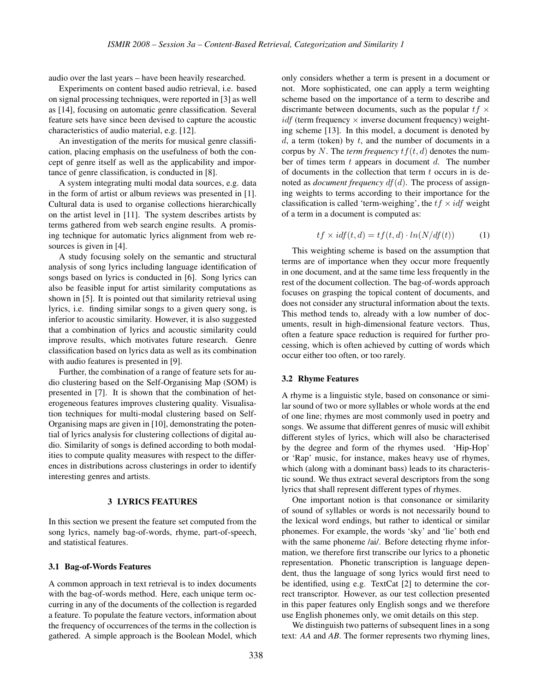audio over the last years – have been heavily researched.

Experiments on content based audio retrieval, i.e. based on signal processing techniques, were reported in [3] as well as [14], focusing on automatic genre classification. Several feature sets have since been devised to capture the acoustic characteristics of audio material, e.g. [12].

An investigation of the merits for musical genre classification, placing emphasis on the usefulness of both the concept of genre itself as well as the applicability and importance of genre classification, is conducted in [8].

A system integrating multi modal data sources, e.g. data in the form of artist or album reviews was presented in [1]. Cultural data is used to organise collections hierarchically on the artist level in [11]. The system describes artists by terms gathered from web search engine results. A promising technique for automatic lyrics alignment from web resources is given in [4].

A study focusing solely on the semantic and structural analysis of song lyrics including language identification of songs based on lyrics is conducted in [6]. Song lyrics can also be feasible input for artist similarity computations as shown in [5]. It is pointed out that similarity retrieval using lyrics, i.e. finding similar songs to a given query song, is inferior to acoustic similarity. However, it is also suggested that a combination of lyrics and acoustic similarity could improve results, which motivates future research. Genre classification based on lyrics data as well as its combination with audio features is presented in [9].

Further, the combination of a range of feature sets for audio clustering based on the Self-Organising Map (SOM) is presented in [7]. It is shown that the combination of heterogeneous features improves clustering quality. Visualisation techniques for multi-modal clustering based on Self-Organising maps are given in [10], demonstrating the potential of lyrics analysis for clustering collections of digital audio. Similarity of songs is defined according to both modalities to compute quality measures with respect to the differences in distributions across clusterings in order to identify interesting genres and artists.

#### 3 LYRICS FEATURES

In this section we present the feature set computed from the song lyrics, namely bag-of-words, rhyme, part-of-speech, and statistical features.

# 3.1 Bag-of-Words Features

A common approach in text retrieval is to index documents with the bag-of-words method. Here, each unique term occurring in any of the documents of the collection is regarded a feature. To populate the feature vectors, information about the frequency of occurrences of the terms in the collection is gathered. A simple approach is the Boolean Model, which only considers whether a term is present in a document or not. More sophisticated, one can apply a term weighting scheme based on the importance of a term to describe and discrimante between documents, such as the popular  $tf \times$ *idf* (term frequency  $\times$  inverse document frequency) weighting scheme [13]. In this model, a document is denoted by  $d$ , a term (token) by  $t$ , and the number of documents in a corpus by N. The *term frequency*  $tf(t, d)$  denotes the number of times term  $t$  appears in document  $d$ . The number of documents in the collection that term  $t$  occurs in is denoted as *document frequency* df(d). The process of assigning weights to terms according to their importance for the classification is called 'term-weighing', the  $tf \times idf$  weight of a term in a document is computed as:

$$
tf \times idf(t, d) = tf(t, d) \cdot ln(N/df(t)) \tag{1}
$$

This weighting scheme is based on the assumption that terms are of importance when they occur more frequently in one document, and at the same time less frequently in the rest of the document collection. The bag-of-words approach focuses on grasping the topical content of documents, and does not consider any structural information about the texts. This method tends to, already with a low number of documents, result in high-dimensional feature vectors. Thus, often a feature space reduction is required for further processing, which is often achieved by cutting of words which occur either too often, or too rarely.

## 3.2 Rhyme Features

A rhyme is a linguistic style, based on consonance or similar sound of two or more syllables or whole words at the end of one line; rhymes are most commonly used in poetry and songs. We assume that different genres of music will exhibit different styles of lyrics, which will also be characterised by the degree and form of the rhymes used. 'Hip-Hop' or 'Rap' music, for instance, makes heavy use of rhymes, which (along with a dominant bass) leads to its characteristic sound. We thus extract several descriptors from the song lyrics that shall represent different types of rhymes.

One important notion is that consonance or similarity of sound of syllables or words is not necessarily bound to the lexical word endings, but rather to identical or similar phonemes. For example, the words 'sky' and 'lie' both end with the same phoneme /ai/. Before detecting rhyme information, we therefore first transcribe our lyrics to a phonetic representation. Phonetic transcription is language dependent, thus the language of song lyrics would first need to be identified, using e.g. TextCat [2] to determine the correct transcriptor. However, as our test collection presented in this paper features only English songs and we therefore use English phonemes only, we omit details on this step.

We distinguish two patterns of subsequent lines in a song text: *AA* and *AB*. The former represents two rhyming lines,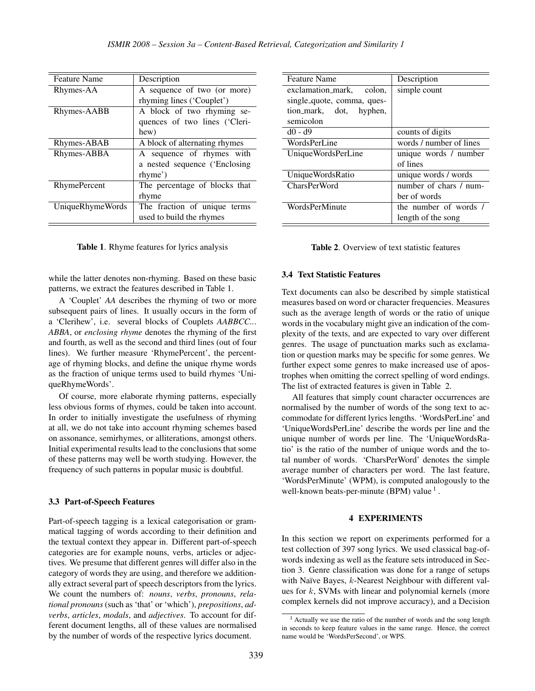| <b>Feature Name</b> | Description                   |  |  |  |
|---------------------|-------------------------------|--|--|--|
| Rhymes-AA           | A sequence of two (or more)   |  |  |  |
|                     | rhyming lines ('Couplet')     |  |  |  |
| Rhymes-AABB         | A block of two rhyming se-    |  |  |  |
|                     | quences of two lines ('Cleri- |  |  |  |
|                     | hew)                          |  |  |  |
| Rhymes-ABAB         | A block of alternating rhymes |  |  |  |
| Rhymes-ABBA         | A sequence of rhymes with     |  |  |  |
|                     | a nested sequence ('Enclosing |  |  |  |
|                     | rhyme')                       |  |  |  |
| <b>RhymePercent</b> | The percentage of blocks that |  |  |  |
|                     | rhyme                         |  |  |  |
| UniqueRhymeWords    | The fraction of unique terms  |  |  |  |
|                     | used to build the rhymes      |  |  |  |
|                     |                               |  |  |  |

Table 1. Rhyme features for lyrics analysis

while the latter denotes non-rhyming. Based on these basic patterns, we extract the features described in Table 1.

A 'Couplet' *AA* describes the rhyming of two or more subsequent pairs of lines. It usually occurs in the form of a 'Clerihew', i.e. several blocks of Couplets *AABBCC..*. *ABBA*, or *enclosing rhyme* denotes the rhyming of the first and fourth, as well as the second and third lines (out of four lines). We further measure 'RhymePercent', the percentage of rhyming blocks, and define the unique rhyme words as the fraction of unique terms used to build rhymes 'UniqueRhymeWords'.

Of course, more elaborate rhyming patterns, especially less obvious forms of rhymes, could be taken into account. In order to initially investigate the usefulness of rhyming at all, we do not take into account rhyming schemes based on assonance, semirhymes, or alliterations, amongst others. Initial experimental results lead to the conclusions that some of these patterns may well be worth studying. However, the frequency of such patterns in popular music is doubtful.

# 3.3 Part-of-Speech Features

Part-of-speech tagging is a lexical categorisation or grammatical tagging of words according to their definition and the textual context they appear in. Different part-of-speech categories are for example nouns, verbs, articles or adjectives. We presume that different genres will differ also in the category of words they are using, and therefore we additionally extract several part of speech descriptors from the lyrics. We count the numbers of: *nouns*, *verbs*, *pronouns*, *relational pronouns* (such as 'that' or 'which'), *prepositions*, *adverbs*, *articles*, *modals*, and *adjectives*. To account for different document lengths, all of these values are normalised by the number of words of the respective lyrics document.

| <b>Feature Name</b>         | Description             |
|-----------------------------|-------------------------|
| exclamation_mark,<br>colon, | simple count            |
| single_quote, comma, ques-  |                         |
| tion_mark, dot, hyphen,     |                         |
| semicolon                   |                         |
| $d0 - d9$                   | counts of digits        |
| WordsPerLine                | words / number of lines |
| Unique Words PerLine        | unique words / number   |
|                             | of lines                |
| Unique Words Ratio          | unique words / words    |
| <b>CharsPerWord</b>         | number of chars / num-  |
|                             | ber of words            |
| WordsPerMinute              | the number of words /   |
|                             | length of the song      |

#### 3.4 Text Statistic Features

Text documents can also be described by simple statistical measures based on word or character frequencies. Measures such as the average length of words or the ratio of unique words in the vocabulary might give an indication of the complexity of the texts, and are expected to vary over different genres. The usage of punctuation marks such as exclamation or question marks may be specific for some genres. We further expect some genres to make increased use of apostrophes when omitting the correct spelling of word endings. The list of extracted features is given in Table 2.

All features that simply count character occurrences are normalised by the number of words of the song text to accommodate for different lyrics lengths. 'WordsPerLine' and 'UniqueWordsPerLine' describe the words per line and the unique number of words per line. The 'UniqueWordsRatio' is the ratio of the number of unique words and the total number of words. 'CharsPerWord' denotes the simple average number of characters per word. The last feature, 'WordsPerMinute' (WPM), is computed analogously to the well-known beats-per-minute (BPM) value  $<sup>1</sup>$ .</sup>

# 4 EXPERIMENTS

In this section we report on experiments performed for a test collection of 397 song lyrics. We used classical bag-ofwords indexing as well as the feature sets introduced in Section 3. Genre classification was done for a range of setups with Naïve Bayes,  $k$ -Nearest Neighbour with different values for  $k$ , SVMs with linear and polynomial kernels (more complex kernels did not improve accuracy), and a Decision

 $<sup>1</sup>$  Actually we use the ratio of the number of words and the song length</sup> in seconds to keep feature values in the same range. Hence, the correct name would be 'WordsPerSecond', or WPS.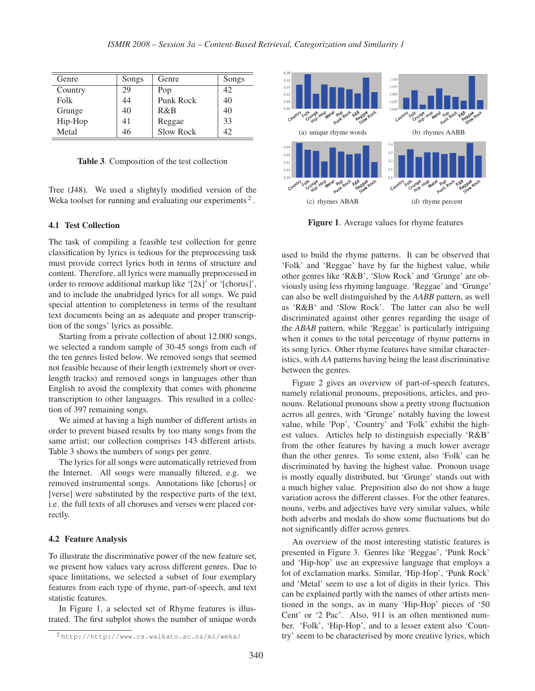|  |  |  |  |  |  | ISMIR 2008 – Session 3a – Content-Based Retrieval, Categorization and Similarity 1 |
|--|--|--|--|--|--|------------------------------------------------------------------------------------|
|--|--|--|--|--|--|------------------------------------------------------------------------------------|

| Genre   | Songs | Genre            | Songs |
|---------|-------|------------------|-------|
| Country | 29    | Pop              | 42    |
| Folk    | 44    | Punk Rock        | 40    |
| Grunge  | 40    | R&B              | 40    |
| Hip-Hop | 41    | Reggae           | 33    |
| Metal   | 46    | <b>Slow Rock</b> | 42.   |

Table 3. Composition of the test collection

Tree (J48). We used a slightyly modified version of the Weka toolset for running and evaluating our experiments<sup>2</sup>.

# 4.1 Test Collection

The task of compiling a feasible test collection for genre classification by lyrics is tedious for the preprocessing task must provide correct lyrics both in terms of structure and content. Therefore, all lyrics were manually preprocessed in order to remove additional markup like '[2x]' or '[chorus]', and to include the unabridged lyrics for all songs. We paid special attention to completeness in terms of the resultant text documents being an as adequate and proper transcription of the songs' lyrics as possible.

Starting from a private collection of about 12.000 songs, we selected a random sample of 30-45 songs from each of the ten genres listed below. We removed songs that seemed not feasible because of their length (extremely short or overlength tracks) and removed songs in languages other than English to avoid the complexity that comes with phoneme transcription to other languages. This resulted in a collection of 397 remaining songs.

We aimed at having a high number of different artists in order to prevent biased results by too many songs from the same artist; our collection comprises 143 different artists. Table 3 shows the numbers of songs per genre.

The lyrics for all songs were automatically retrieved from the Internet. All songs were manually filtered, e.g. we removed instrumental songs. Annotations like [chorus] or [verse] were substituted by the respective parts of the text, i.e. the full texts of all choruses and verses were placed correctly.

#### 4.2 Feature Analysis

To illustrate the discriminative power of the new feature set, we present how values vary across different genres. Due to space limitations, we selected a subset of four exemplary features from each type of rhyme, part-of-speech, and text statistic features.

In Figure 1, a selected set of Rhyme features is illustrated. The first subplot shows the number of unique words





**Figure 1.** Average values for rhyme features

used to build the rhyme patterns. It can be observed that 'Folk' and 'Reggae' have by far the highest value, while other genres like 'R&B', 'Slow Rock' and 'Grunge' are obviously using less rhyming language. 'Reggae' and 'Grunge' can also be well distinguished by the *AABB* pattern, as well as 'R&B' and 'Slow Rock'. The latter can also be well discriminated against other genres regarding the usage of the *ABAB* pattern, while 'Reggae' is particularly intriguing when it comes to the total percentage of rhyme patterns in its song lyrics. Other rhyme features have similar characteristics, with *AA* patterns having being the least discriminative between the genres.

Figure 2 gives an overview of part-of-speech features, namely relational pronouns, prepositions, articles, and pronouns. Relational pronouns show a pretty strong fluctuation acrros all genres, with 'Grunge' notably having the lowest value, while 'Pop', 'Country' and 'Folk' exhibit the highest values. Articles help to distinguish especially 'R&B' from the other features by having a much lower average than the other genres. To some extent, also 'Folk' can be discriminated by having the highest value. Pronoun usage is mostly equally distributed, but 'Grunge' stands out with a much higher value. Preposition also do not show a huge variation across the different classes. For the other features, nouns, verbs and adjectives have very similar values, while both adverbs and modals do show some fluctuations but do not significantly differ across genres.

An overview of the most interesting statistic features is presented in Figure 3. Genres like 'Reggae', 'Punk Rock' and 'Hip-hop' use an expressive language that employs a lot of exclamation marks. Similar, 'Hip-Hop', 'Punk Rock' and 'Metal' seem to use a lot of digits in their lyrics. This can be explained partly with the names of other artists mentioned in the songs, as in many 'Hip-Hop' pieces of '50 Cent' or '2 Pac'. Also, 911 is an often mentioned number. 'Folk', 'Hip-Hop', and to a lesser extent also 'Country' seem to be characterised by more creative lyrics, which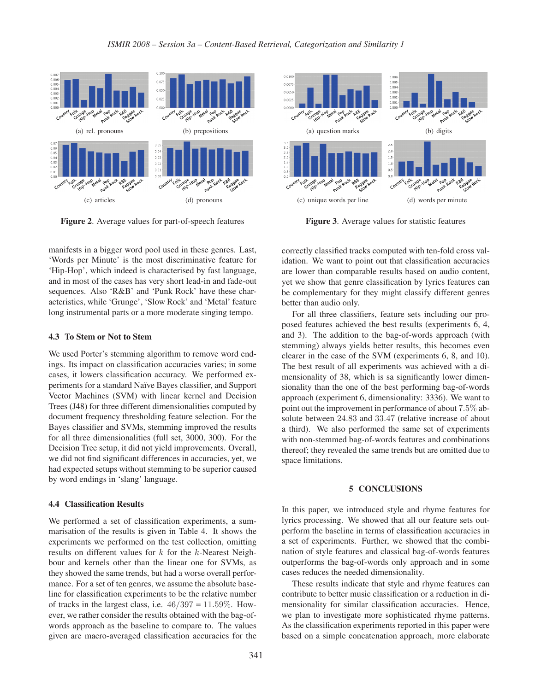

Figure 2. Average values for part-of-speech features

manifests in a bigger word pool used in these genres. Last, 'Words per Minute' is the most discriminative feature for 'Hip-Hop', which indeed is characterised by fast language, and in most of the cases has very short lead-in and fade-out sequences. Also 'R&B' and 'Punk Rock' have these characteristics, while 'Grunge', 'Slow Rock' and 'Metal' feature long instrumental parts or a more moderate singing tempo.

#### 4.3 To Stem or Not to Stem

We used Porter's stemming algorithm to remove word endings. Its impact on classification accuracies varies; in some cases, it lowers classification accuracy. We performed experiments for a standard Naïve Bayes classifier, and Support Vector Machines (SVM) with linear kernel and Decision Trees (J48) for three different dimensionalities computed by document frequency thresholding feature selection. For the Bayes classifier and SVMs, stemming improved the results for all three dimensionalities (full set, 3000, 300). For the Decision Tree setup, it did not yield improvements. Overall, we did not find significant differences in accuracies, yet, we had expected setups without stemming to be superior caused by word endings in 'slang' language.

#### 4.4 Classification Results

We performed a set of classification experiments, a summarisation of the results is given in Table 4. It shows the experiments we performed on the test collection, omitting results on different values for  $k$  for the  $k$ -Nearest Neighbour and kernels other than the linear one for SVMs, as they showed the same trends, but had a worse overall performance. For a set of ten genres, we assume the absolute baseline for classification experiments to be the relative number of tracks in the largest class, i.e.  $46/397 = 11.59\%$ . However, we rather consider the results obtained with the bag-ofwords approach as the baseline to compare to. The values given are macro-averaged classification accuracies for the



Figure 3. Average values for statistic features

correctly classified tracks computed with ten-fold cross validation. We want to point out that classification accuracies are lower than comparable results based on audio content, yet we show that genre classification by lyrics features can be complementary for they might classify different genres better than audio only.

For all three classifiers, feature sets including our proposed features achieved the best results (experiments 6, 4, and 3). The addition to the bag-of-words approach (with stemming) always yields better results, this becomes even clearer in the case of the SVM (experiments 6, 8, and 10). The best result of all experiments was achieved with a dimensionality of 38, which is sa significantly lower dimensionality than the one of the best performing bag-of-words approach (experiment 6, dimensionality: 3336). We want to point out the improvement in performance of about 7.5% absolute between 24.83 and 33.47 (relative increase of about a third). We also performed the same set of experiments with non-stemmed bag-of-words features and combinations thereof; they revealed the same trends but are omitted due to space limitations.

## 5 CONCLUSIONS

In this paper, we introduced style and rhyme features for lyrics processing. We showed that all our feature sets outperform the baseline in terms of classification accuracies in a set of experiments. Further, we showed that the combination of style features and classical bag-of-words features outperforms the bag-of-words only approach and in some cases reduces the needed dimensionality.

These results indicate that style and rhyme features can contribute to better music classification or a reduction in dimensionality for similar classification accuracies. Hence, we plan to investigate more sophisticated rhyme patterns. As the classification experiments reported in this paper were based on a simple concatenation approach, more elaborate